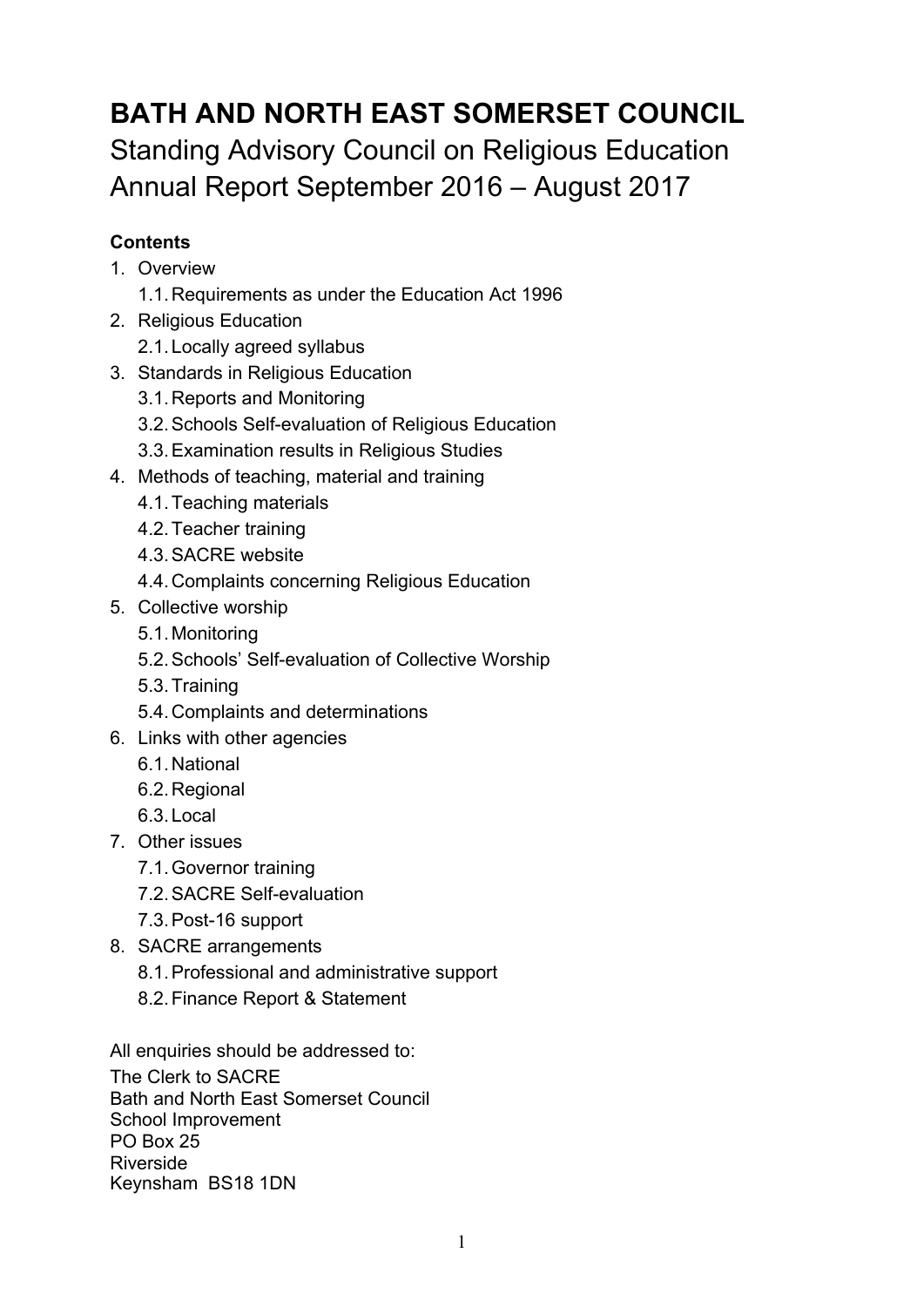# **BATH AND NORTH EAST SOMERSET COUNCIL** Standing Advisory Council on Religious Education Annual Report September 2016 – August 2017

## **Contents**

- 1. Overview
	- 1.1.Requirements as under the Education Act 1996
- 2. Religious Education
	- 2.1.Locally agreed syllabus
- 3. Standards in Religious Education
	- 3.1.Reports and Monitoring
	- 3.2.Schools Self-evaluation of Religious Education
	- 3.3.Examination results in Religious Studies
- 4. Methods of teaching, material and training
	- 4.1.Teaching materials
	- 4.2.Teacher training
	- 4.3.SACRE website
	- 4.4.Complaints concerning Religious Education
- 5. Collective worship
	- 5.1.Monitoring
	- 5.2.Schools' Self-evaluation of Collective Worship
	- 5.3.Training
	- 5.4.Complaints and determinations
- 6. Links with other agencies
	- 6.1.National
	- 6.2.Regional
	- 6.3.Local
- 7. Other issues
	- 7.1.Governor training
	- 7.2.SACRE Self-evaluation
	- 7.3.Post-16 support
- 8. SACRE arrangements
	- 8.1.Professional and administrative support
	- 8.2.Finance Report & Statement

All enquiries should be addressed to:

The Clerk to SACRE Bath and North East Somerset Council School Improvement PO Box 25 Riverside Keynsham BS18 1DN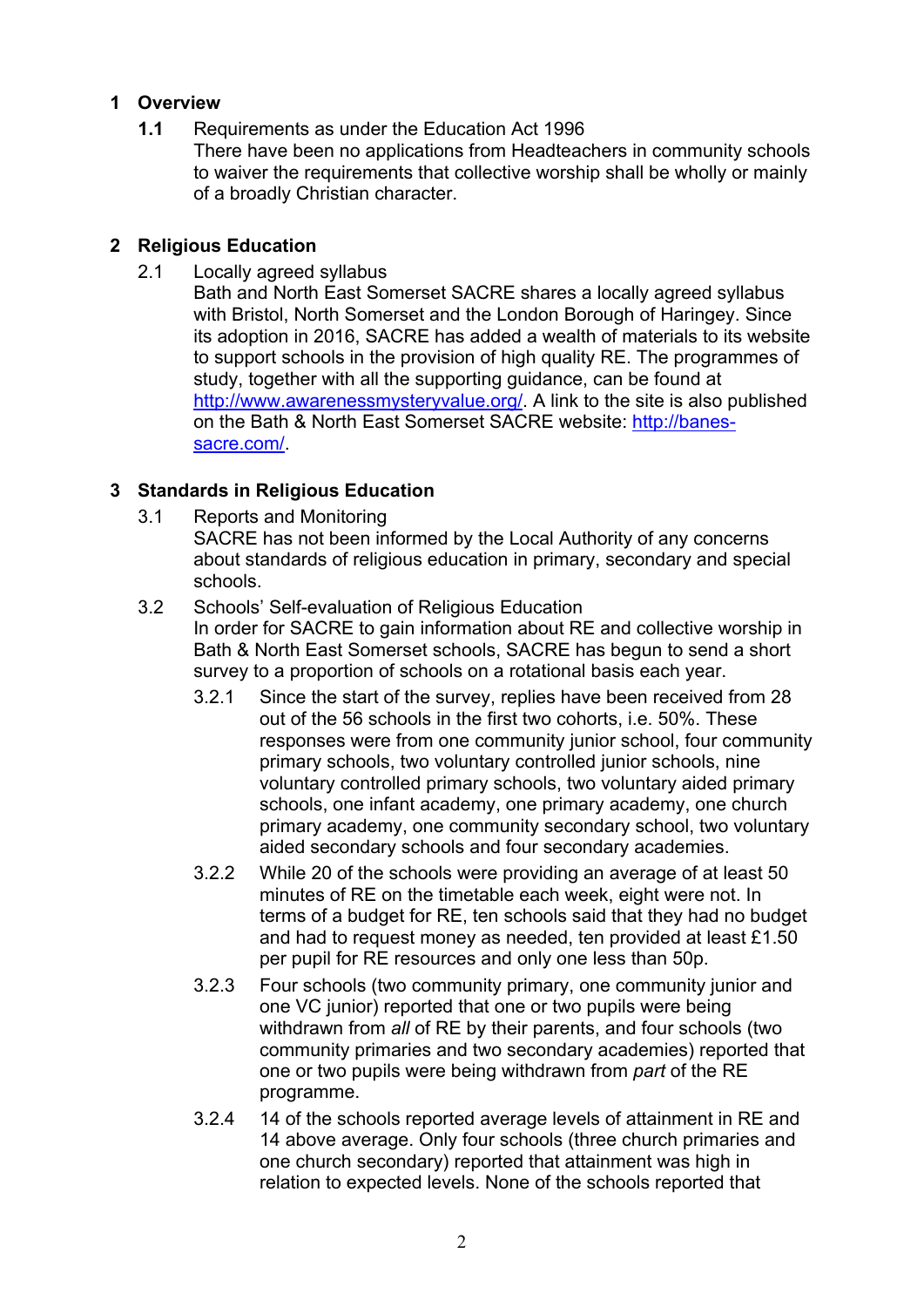## **1 Overview**

**1.1** Requirements as under the Education Act 1996 There have been no applications from Headteachers in community schools to waiver the requirements that collective worship shall be wholly or mainly of a broadly Christian character.

## **2 Religious Education**

2.1 Locally agreed syllabus

Bath and North East Somerset SACRE shares a locally agreed syllabus with Bristol, North Somerset and the London Borough of Haringey. Since its adoption in 2016, SACRE has added a wealth of materials to its website to support schools in the provision of high quality RE. The programmes of study, together with all the supporting guidance, can be found at http://www.awarenessmysteryvalue.org/. A link to the site is also published on the Bath & North East Somerset SACRE website: http://banessacre.com/.

## **3 Standards in Religious Education**

- 3.1 Reports and Monitoring
	- SACRE has not been informed by the Local Authority of any concerns about standards of religious education in primary, secondary and special schools.
- 3.2 Schools' Self-evaluation of Religious Education In order for SACRE to gain information about RE and collective worship in Bath & North East Somerset schools, SACRE has begun to send a short survey to a proportion of schools on a rotational basis each year.
	- 3.2.1 Since the start of the survey, replies have been received from 28 out of the 56 schools in the first two cohorts, i.e. 50%. These responses were from one community junior school, four community primary schools, two voluntary controlled junior schools, nine voluntary controlled primary schools, two voluntary aided primary schools, one infant academy, one primary academy, one church primary academy, one community secondary school, two voluntary aided secondary schools and four secondary academies.
	- 3.2.2 While 20 of the schools were providing an average of at least 50 minutes of RE on the timetable each week, eight were not. In terms of a budget for RE, ten schools said that they had no budget and had to request money as needed, ten provided at least £1.50 per pupil for RE resources and only one less than 50p.
	- 3.2.3 Four schools (two community primary, one community junior and one VC junior) reported that one or two pupils were being withdrawn from *all* of RE by their parents, and four schools (two community primaries and two secondary academies) reported that one or two pupils were being withdrawn from *part* of the RE programme.
	- 3.2.4 14 of the schools reported average levels of attainment in RE and 14 above average. Only four schools (three church primaries and one church secondary) reported that attainment was high in relation to expected levels. None of the schools reported that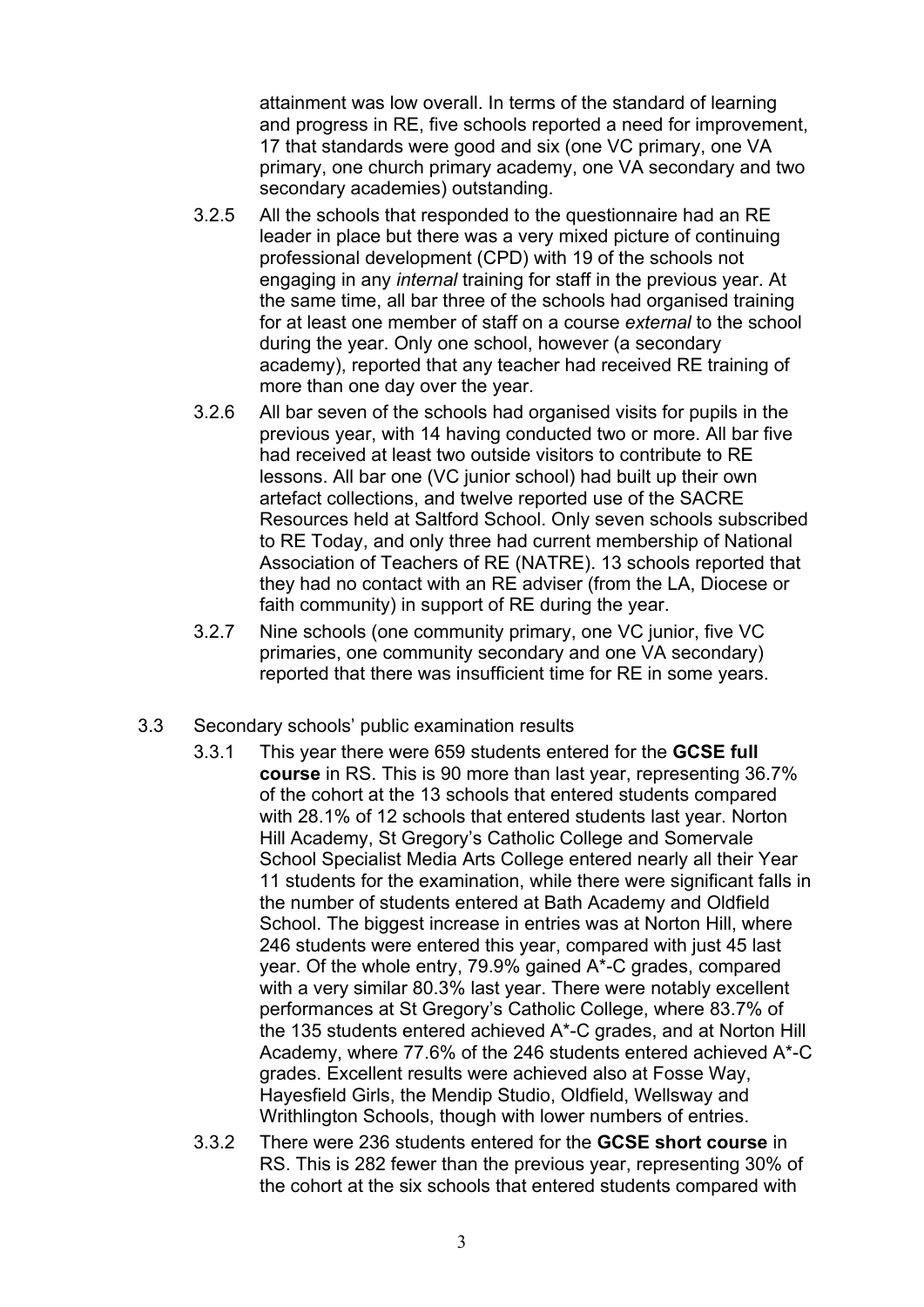attainment was low overall. In terms of the standard of learning and progress in RE, five schools reported a need for improvement, 17 that standards were good and six (one VC primary, one VA primary, one church primary academy, one VA secondary and two secondary academies) outstanding.

- 3.2.5 All the schools that responded to the questionnaire had an RE leader in place but there was a very mixed picture of continuing professional development (CPD) with 19 of the schools not engaging in any *internal* training for staff in the previous year. At the same time, all bar three of the schools had organised training for at least one member of staff on a course *external* to the school during the year. Only one school, however (a secondary academy), reported that any teacher had received RE training of more than one day over the year.
- 3.2.6 All bar seven of the schools had organised visits for pupils in the previous year, with 14 having conducted two or more. All bar five had received at least two outside visitors to contribute to RE lessons. All bar one (VC junior school) had built up their own artefact collections, and twelve reported use of the SACRE Resources held at Saltford School. Only seven schools subscribed to RE Today, and only three had current membership of National Association of Teachers of RE (NATRE). 13 schools reported that they had no contact with an RE adviser (from the LA, Diocese or faith community) in support of RE during the year.
- 3.2.7 Nine schools (one community primary, one VC junior, five VC primaries, one community secondary and one VA secondary) reported that there was insufficient time for RE in some years.
- 3.3 Secondary schools' public examination results
	- 3.3.1 This year there were 659 students entered for the **GCSE full course** in RS. This is 90 more than last year, representing 36.7% of the cohort at the 13 schools that entered students compared with 28.1% of 12 schools that entered students last year. Norton Hill Academy, St Gregory's Catholic College and Somervale School Specialist Media Arts College entered nearly all their Year 11 students for the examination, while there were significant falls in the number of students entered at Bath Academy and Oldfield School. The biggest increase in entries was at Norton Hill, where 246 students were entered this year, compared with just 45 last year. Of the whole entry, 79.9% gained A\*-C grades, compared with a very similar 80.3% last year. There were notably excellent performances at St Gregory's Catholic College, where 83.7% of the 135 students entered achieved A\*-C grades, and at Norton Hill Academy, where 77.6% of the 246 students entered achieved A\*-C grades. Excellent results were achieved also at Fosse Way, Hayesfield Girls, the Mendip Studio, Oldfield, Wellsway and Writhlington Schools, though with lower numbers of entries.
	- 3.3.2 There were 236 students entered for the **GCSE short course** in RS. This is 282 fewer than the previous year, representing 30% of the cohort at the six schools that entered students compared with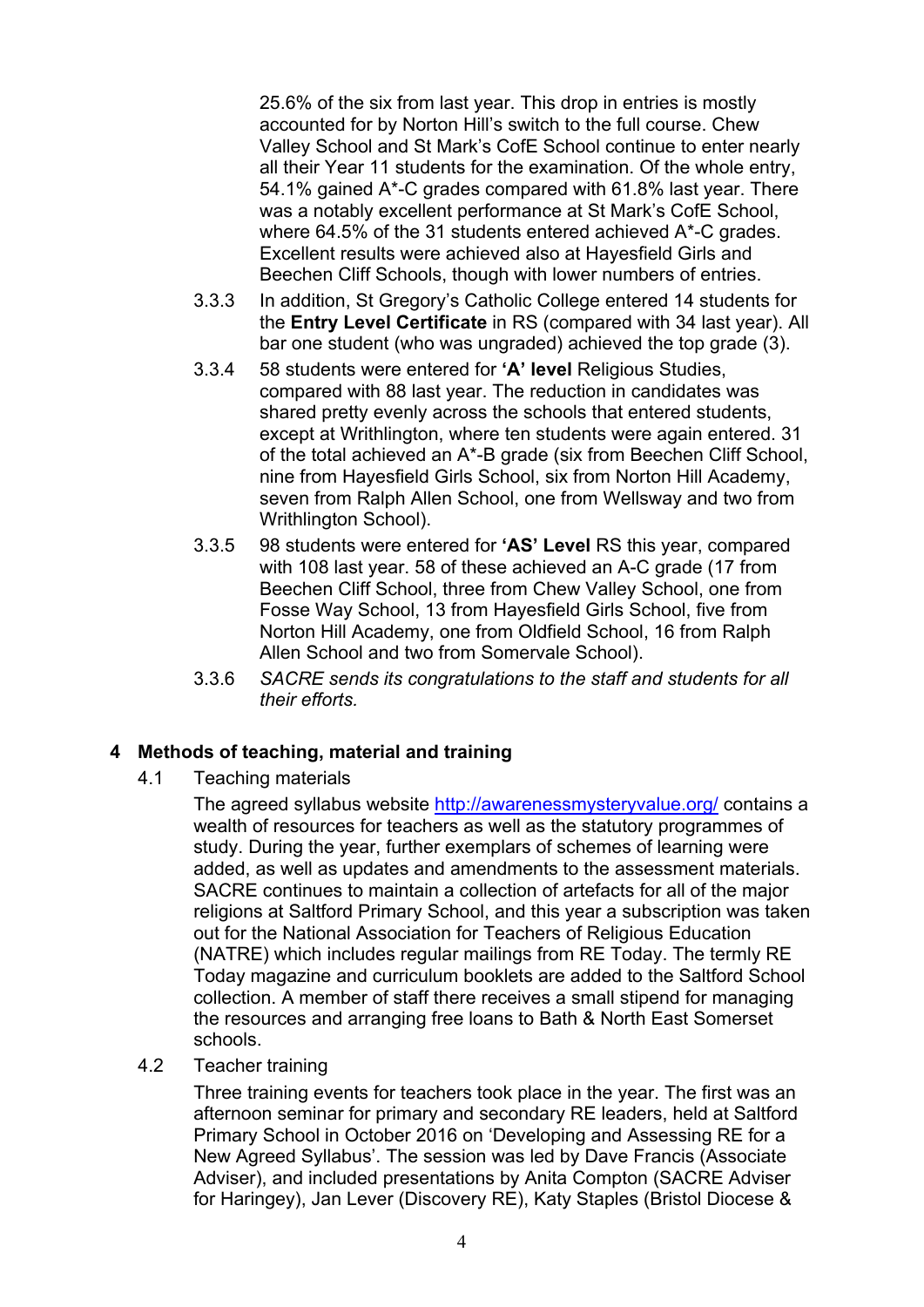25.6% of the six from last year. This drop in entries is mostly accounted for by Norton Hill's switch to the full course. Chew Valley School and St Mark's CofE School continue to enter nearly all their Year 11 students for the examination. Of the whole entry, 54.1% gained A\*-C grades compared with 61.8% last year. There was a notably excellent performance at St Mark's CofE School, where 64.5% of the 31 students entered achieved A\*-C grades. Excellent results were achieved also at Hayesfield Girls and Beechen Cliff Schools, though with lower numbers of entries.

- 3.3.3 In addition, St Gregory's Catholic College entered 14 students for the **Entry Level Certificate** in RS (compared with 34 last year). All bar one student (who was ungraded) achieved the top grade (3).
- 3.3.4 58 students were entered for **'A' level** Religious Studies, compared with 88 last year. The reduction in candidates was shared pretty evenly across the schools that entered students, except at Writhlington, where ten students were again entered. 31 of the total achieved an A\*-B grade (six from Beechen Cliff School, nine from Hayesfield Girls School, six from Norton Hill Academy, seven from Ralph Allen School, one from Wellsway and two from Writhlington School).
- 3.3.5 98 students were entered for **'AS' Level** RS this year, compared with 108 last year. 58 of these achieved an A-C grade (17 from Beechen Cliff School, three from Chew Valley School, one from Fosse Way School, 13 from Hayesfield Girls School, five from Norton Hill Academy, one from Oldfield School, 16 from Ralph Allen School and two from Somervale School).
- 3.3.6 *SACRE sends its congratulations to the staff and students for all their efforts.*

## **4 Methods of teaching, material and training**

4.1 Teaching materials

The agreed syllabus website http://awarenessmysteryvalue.org/ contains a wealth of resources for teachers as well as the statutory programmes of study. During the year, further exemplars of schemes of learning were added, as well as updates and amendments to the assessment materials. SACRE continues to maintain a collection of artefacts for all of the major religions at Saltford Primary School, and this year a subscription was taken out for the National Association for Teachers of Religious Education (NATRE) which includes regular mailings from RE Today. The termly RE Today magazine and curriculum booklets are added to the Saltford School collection. A member of staff there receives a small stipend for managing the resources and arranging free loans to Bath & North East Somerset schools.

4.2 Teacher training

Three training events for teachers took place in the year. The first was an afternoon seminar for primary and secondary RE leaders, held at Saltford Primary School in October 2016 on 'Developing and Assessing RE for a New Agreed Syllabus'. The session was led by Dave Francis (Associate Adviser), and included presentations by Anita Compton (SACRE Adviser for Haringey), Jan Lever (Discovery RE), Katy Staples (Bristol Diocese &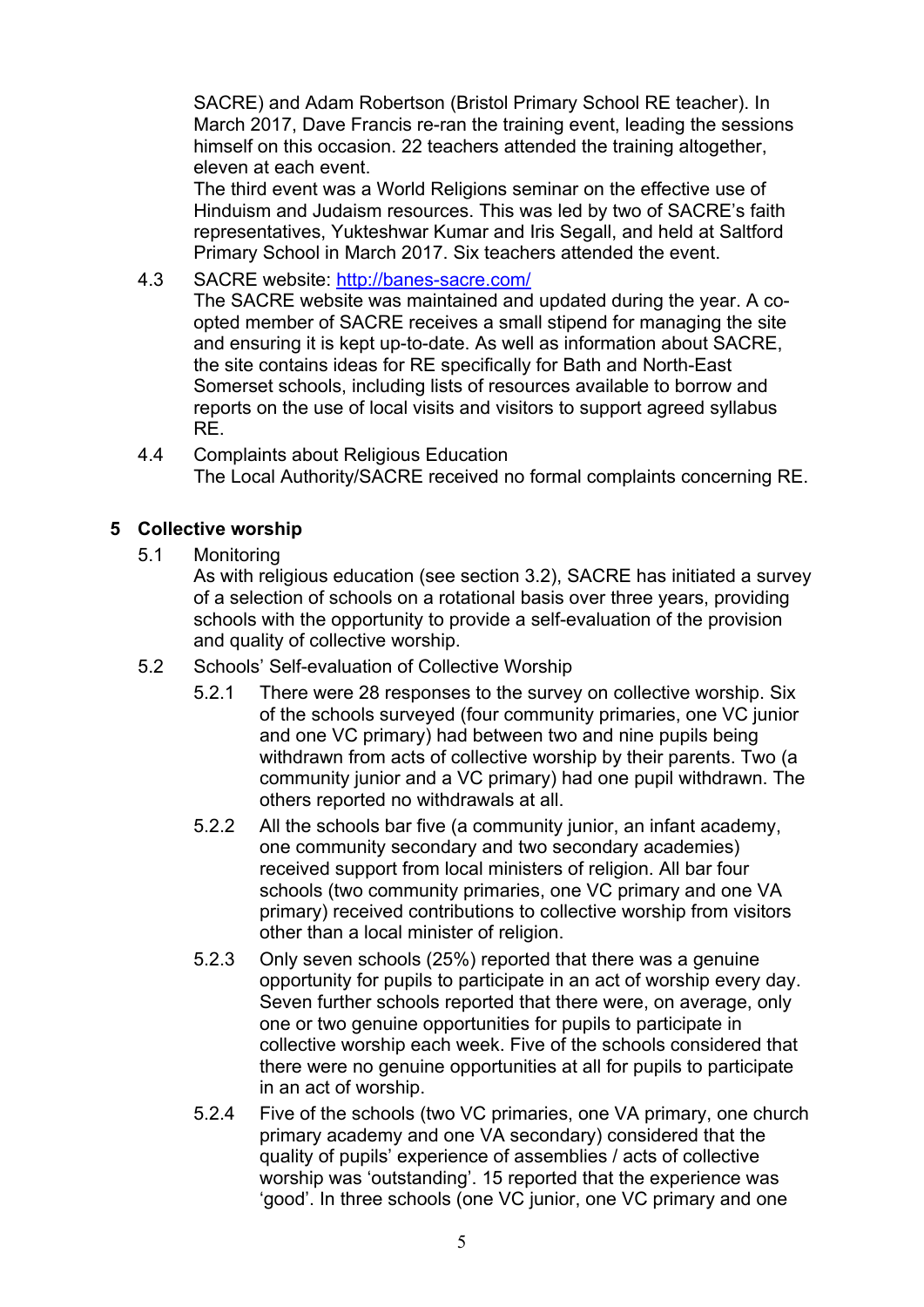SACRE) and Adam Robertson (Bristol Primary School RE teacher). In March 2017, Dave Francis re-ran the training event, leading the sessions himself on this occasion. 22 teachers attended the training altogether, eleven at each event.

The third event was a World Religions seminar on the effective use of Hinduism and Judaism resources. This was led by two of SACRE's faith representatives, Yukteshwar Kumar and Iris Segall, and held at Saltford Primary School in March 2017. Six teachers attended the event.

4.3 SACRE website: http://banes-sacre.com/

The SACRE website was maintained and updated during the year. A coopted member of SACRE receives a small stipend for managing the site and ensuring it is kept up-to-date. As well as information about SACRE, the site contains ideas for RE specifically for Bath and North-East Somerset schools, including lists of resources available to borrow and reports on the use of local visits and visitors to support agreed syllabus RE.

4.4 Complaints about Religious Education The Local Authority/SACRE received no formal complaints concerning RE.

## **5 Collective worship**

5.1 Monitoring

As with religious education (see section 3.2), SACRE has initiated a survey of a selection of schools on a rotational basis over three years, providing schools with the opportunity to provide a self-evaluation of the provision and quality of collective worship.

- 5.2 Schools' Self-evaluation of Collective Worship
	- 5.2.1 There were 28 responses to the survey on collective worship. Six of the schools surveyed (four community primaries, one VC junior and one VC primary) had between two and nine pupils being withdrawn from acts of collective worship by their parents. Two (a community junior and a VC primary) had one pupil withdrawn. The others reported no withdrawals at all.
	- 5.2.2 All the schools bar five (a community junior, an infant academy, one community secondary and two secondary academies) received support from local ministers of religion. All bar four schools (two community primaries, one VC primary and one VA primary) received contributions to collective worship from visitors other than a local minister of religion.
	- 5.2.3 Only seven schools (25%) reported that there was a genuine opportunity for pupils to participate in an act of worship every day. Seven further schools reported that there were, on average, only one or two genuine opportunities for pupils to participate in collective worship each week. Five of the schools considered that there were no genuine opportunities at all for pupils to participate in an act of worship.
	- 5.2.4 Five of the schools (two VC primaries, one VA primary, one church primary academy and one VA secondary) considered that the quality of pupils' experience of assemblies / acts of collective worship was 'outstanding'. 15 reported that the experience was 'good'. In three schools (one VC junior, one VC primary and one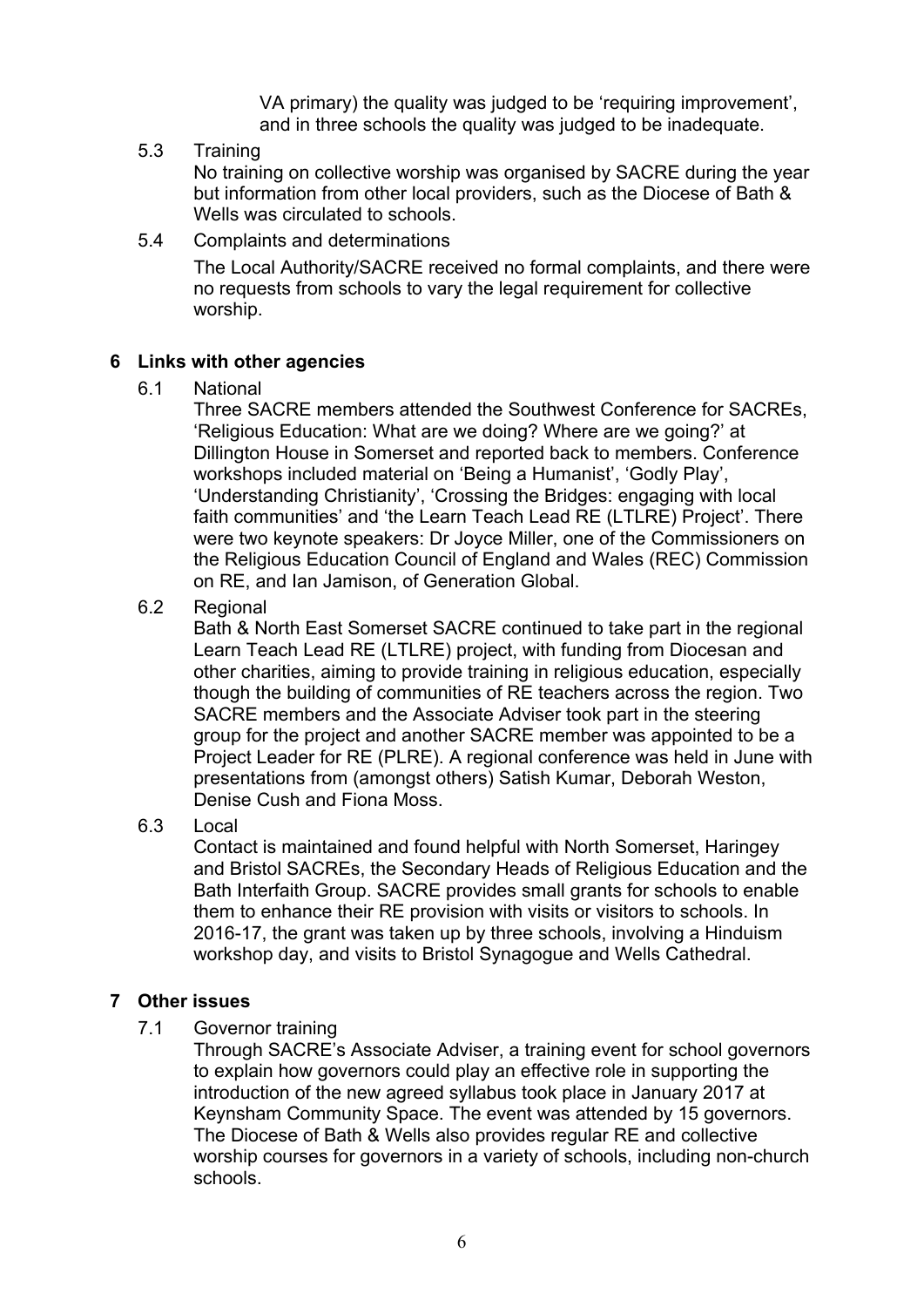VA primary) the quality was judged to be 'requiring improvement', and in three schools the quality was judged to be inadequate.

#### 5.3 Training

No training on collective worship was organised by SACRE during the year but information from other local providers, such as the Diocese of Bath & Wells was circulated to schools.

5.4 Complaints and determinations

The Local Authority/SACRE received no formal complaints, and there were no requests from schools to vary the legal requirement for collective worship.

#### **6 Links with other agencies**

6.1 National

Three SACRE members attended the Southwest Conference for SACREs, 'Religious Education: What are we doing? Where are we going?' at Dillington House in Somerset and reported back to members. Conference workshops included material on 'Being a Humanist', 'Godly Play', 'Understanding Christianity', 'Crossing the Bridges: engaging with local faith communities' and 'the Learn Teach Lead RE (LTLRE) Project'. There were two keynote speakers: Dr Joyce Miller, one of the Commissioners on the Religious Education Council of England and Wales (REC) Commission on RE, and Ian Jamison, of Generation Global.

6.2 Regional

Bath & North East Somerset SACRE continued to take part in the regional Learn Teach Lead RE (LTLRE) project, with funding from Diocesan and other charities, aiming to provide training in religious education, especially though the building of communities of RE teachers across the region. Two SACRE members and the Associate Adviser took part in the steering group for the project and another SACRE member was appointed to be a Project Leader for RE (PLRE). A regional conference was held in June with presentations from (amongst others) Satish Kumar, Deborah Weston, Denise Cush and Fiona Moss.

#### 6.3 Local

Contact is maintained and found helpful with North Somerset, Haringey and Bristol SACREs, the Secondary Heads of Religious Education and the Bath Interfaith Group. SACRE provides small grants for schools to enable them to enhance their RE provision with visits or visitors to schools. In 2016-17, the grant was taken up by three schools, involving a Hinduism workshop day, and visits to Bristol Synagogue and Wells Cathedral.

## **7 Other issues**

7.1 Governor training

Through SACRE's Associate Adviser, a training event for school governors to explain how governors could play an effective role in supporting the introduction of the new agreed syllabus took place in January 2017 at Keynsham Community Space. The event was attended by 15 governors. The Diocese of Bath & Wells also provides regular RE and collective worship courses for governors in a variety of schools, including non-church schools.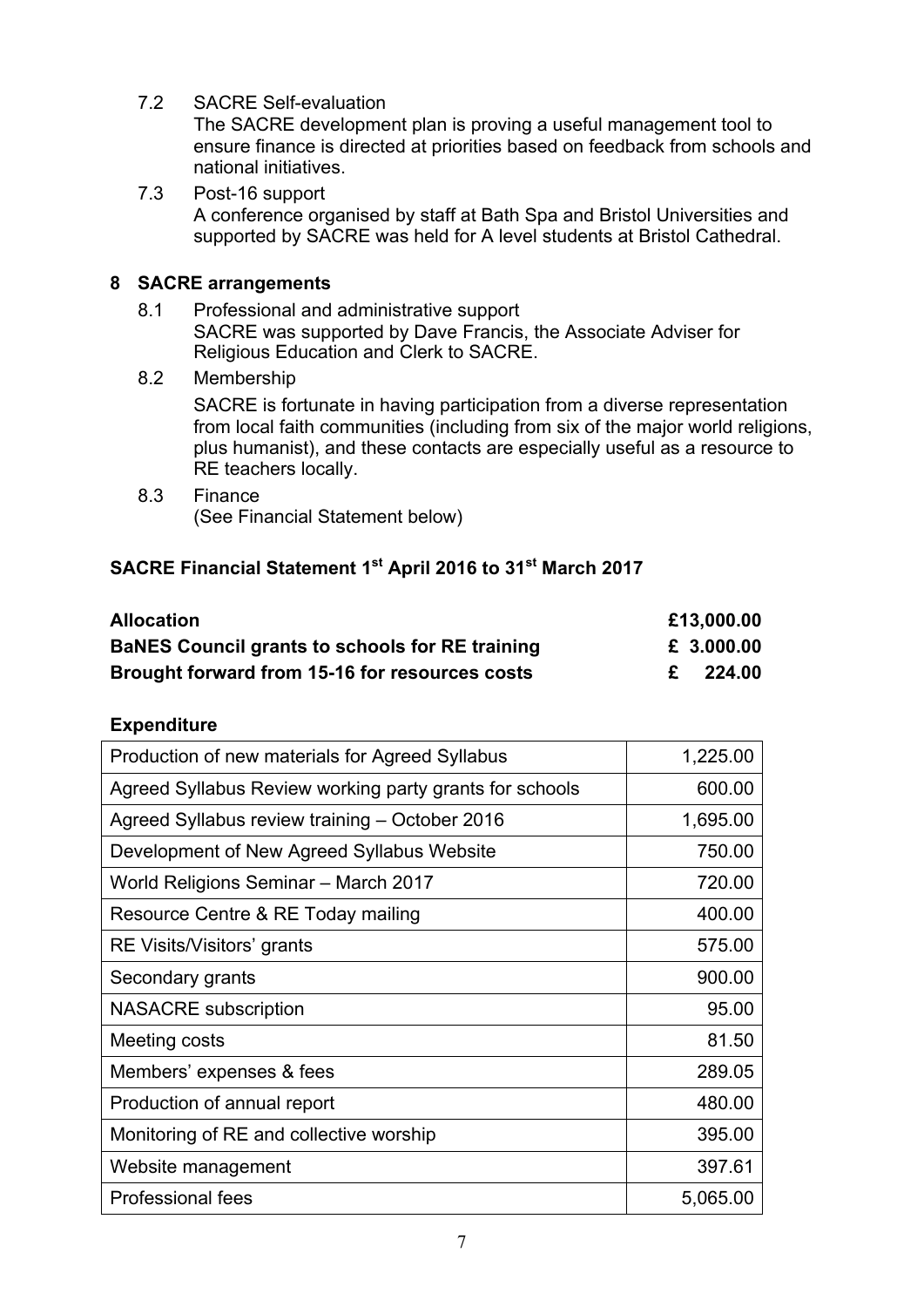7.2 SACRE Self-evaluation

The SACRE development plan is proving a useful management tool to ensure finance is directed at priorities based on feedback from schools and national initiatives.

7.3 Post-16 support A conference organised by staff at Bath Spa and Bristol Universities and supported by SACRE was held for A level students at Bristol Cathedral.

## **8 SACRE arrangements**

- 8.1 Professional and administrative support SACRE was supported by Dave Francis, the Associate Adviser for Religious Education and Clerk to SACRE.
- 8.2 Membership

SACRE is fortunate in having participation from a diverse representation from local faith communities (including from six of the major world religions, plus humanist), and these contacts are especially useful as a resource to RE teachers locally.

8.3 Finance (See Financial Statement below)

## **SACRE Financial Statement 1st April 2016 to 31st March 2017**

| <b>Allocation</b>                                      | £13,000.00 |
|--------------------------------------------------------|------------|
| <b>BaNES Council grants to schools for RE training</b> | £ 3.000.00 |
| Brought forward from 15-16 for resources costs         | 224.00     |

## **Expenditure**

| Production of new materials for Agreed Syllabus         | 1,225.00 |
|---------------------------------------------------------|----------|
| Agreed Syllabus Review working party grants for schools | 600.00   |
| Agreed Syllabus review training - October 2016          | 1,695.00 |
| Development of New Agreed Syllabus Website              | 750.00   |
| World Religions Seminar - March 2017                    | 720.00   |
| Resource Centre & RE Today mailing                      | 400.00   |
| RE Visits/Visitors' grants                              | 575.00   |
| Secondary grants                                        | 900.00   |
| <b>NASACRE</b> subscription                             | 95.00    |
| Meeting costs                                           | 81.50    |
| Members' expenses & fees                                | 289.05   |
| Production of annual report                             | 480.00   |
| Monitoring of RE and collective worship                 | 395.00   |
| Website management                                      | 397.61   |
| <b>Professional fees</b>                                | 5,065.00 |